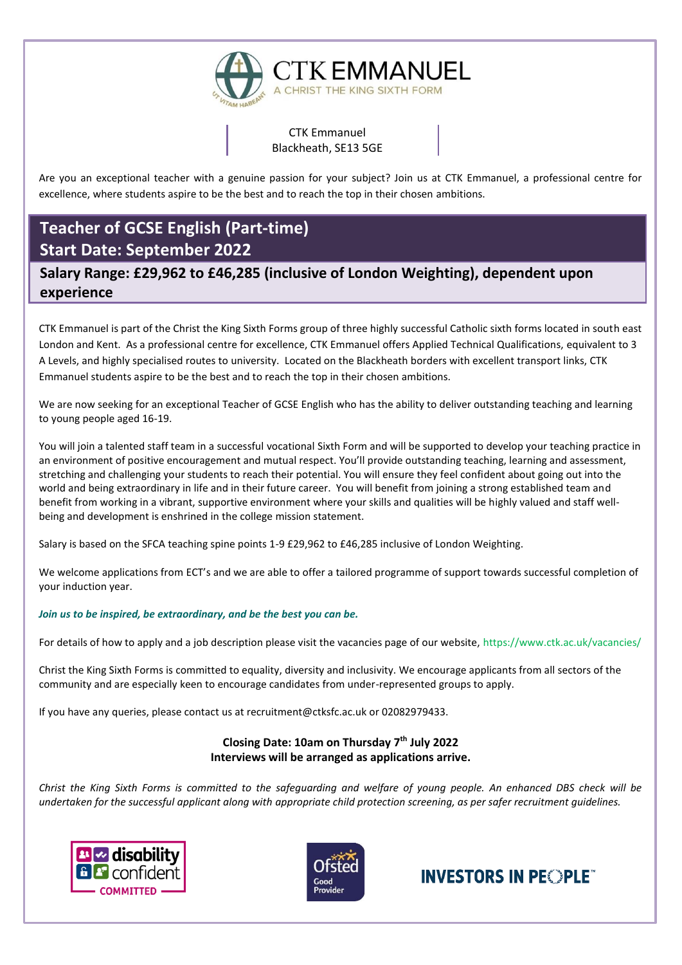

CTK Emmanuel Blackheath, SE13 5GE

Are you an exceptional teacher with a genuine passion for your subject? Join us at CTK Emmanuel, a professional centre for excellence, where students aspire to be the best and to reach the top in their chosen ambitions.

# **Teacher of GCSE English (Part-time) Start Date: September 2022**

**Salary Range: £29,962 to £46,285 (inclusive of London Weighting), dependent upon experience**

CTK Emmanuel is part of the Christ the King Sixth Forms group of three highly successful Catholic sixth forms located in south east London and Kent. As a professional centre for excellence, CTK Emmanuel offers Applied Technical Qualifications, equivalent to 3 A Levels, and highly specialised routes to university. Located on the Blackheath borders with excellent transport links, CTK Emmanuel students aspire to be the best and to reach the top in their chosen ambitions.

We are now seeking for an exceptional Teacher of GCSE English who has the ability to deliver outstanding teaching and learning to young people aged 16-19.

You will join a talented staff team in a successful vocational Sixth Form and will be supported to develop your teaching practice in an environment of positive encouragement and mutual respect. You'll provide outstanding teaching, learning and assessment, stretching and challenging your students to reach their potential. You will ensure they feel confident about going out into the world and being extraordinary in life and in their future career. You will benefit from joining a strong established team and benefit from working in a vibrant, supportive environment where your skills and qualities will be highly valued and staff wellbeing and development is enshrined in the college mission statement.

Salary is based on the SFCA teaching spine points 1-9 £29,962 to £46,285 inclusive of London Weighting.

We welcome applications from ECT's and we are able to offer a tailored programme of support towards successful completion of your induction year.

#### *Join us to be inspired, be extraordinary, and be the best you can be.*

For details of how to apply and a job description please visit the vacancies page of our website,<https://www.ctk.ac.uk/vacancies/>

Christ the King Sixth Forms is committed to equality, diversity and inclusivity. We encourage applicants from all sectors of the community and are especially keen to encourage candidates from under-represented groups to apply.

If you have any queries, please contact us at recruitment@ctksfc.ac.uk or 02082979433.

# **Closing Date: 10am on Thursday 7th July 2022 Interviews will be arranged as applications arrive.**

*Christ the King Sixth Forms is committed to the safeguarding and welfare of young people. An enhanced DBS check will be undertaken for the successful applicant along with appropriate child protection screening, as per safer recruitment guidelines.*





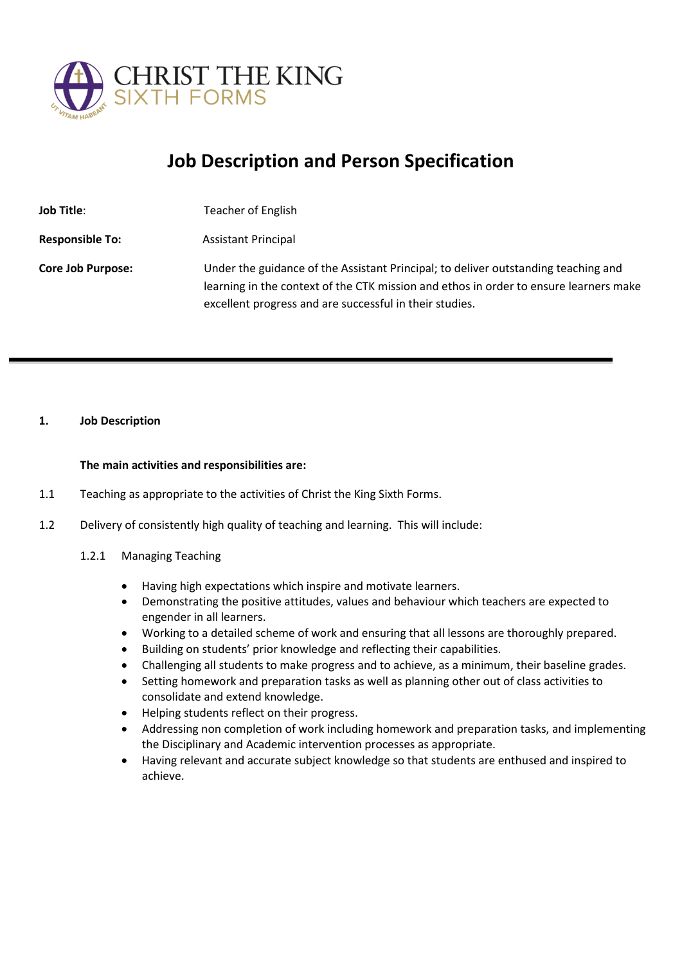

# **Job Description and Person Specification**

| <b>Job Title:</b>        | Teacher of English                                                                                                                                                                                                                     |
|--------------------------|----------------------------------------------------------------------------------------------------------------------------------------------------------------------------------------------------------------------------------------|
| <b>Responsible To:</b>   | <b>Assistant Principal</b>                                                                                                                                                                                                             |
| <b>Core Job Purpose:</b> | Under the guidance of the Assistant Principal; to deliver outstanding teaching and<br>learning in the context of the CTK mission and ethos in order to ensure learners make<br>excellent progress and are successful in their studies. |

#### **1. Job Description**

#### **The main activities and responsibilities are:**

- 1.1 Teaching as appropriate to the activities of Christ the King Sixth Forms.
- 1.2 Delivery of consistently high quality of teaching and learning. This will include:
	- 1.2.1 Managing Teaching
		- Having high expectations which inspire and motivate learners.
		- Demonstrating the positive attitudes, values and behaviour which teachers are expected to engender in all learners.
		- Working to a detailed scheme of work and ensuring that all lessons are thoroughly prepared.
		- Building on students' prior knowledge and reflecting their capabilities.
		- Challenging all students to make progress and to achieve, as a minimum, their baseline grades.
		- Setting homework and preparation tasks as well as planning other out of class activities to consolidate and extend knowledge.
		- Helping students reflect on their progress.
		- Addressing non completion of work including homework and preparation tasks, and implementing the Disciplinary and Academic intervention processes as appropriate.
		- Having relevant and accurate subject knowledge so that students are enthused and inspired to achieve.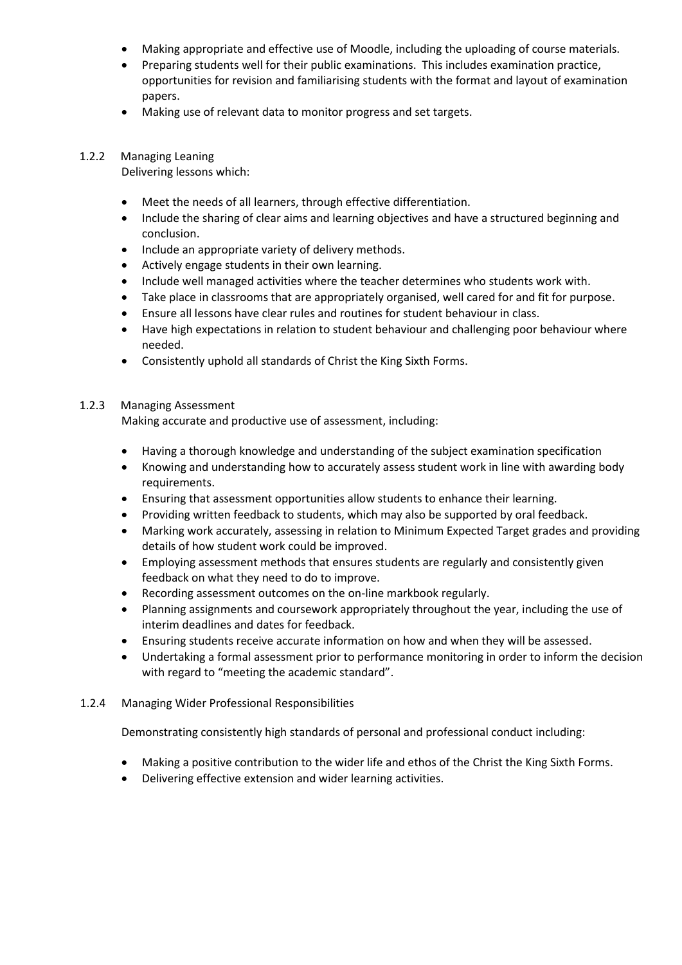- Making appropriate and effective use of Moodle, including the uploading of course materials.
- Preparing students well for their public examinations. This includes examination practice, opportunities for revision and familiarising students with the format and layout of examination papers.
- Making use of relevant data to monitor progress and set targets.

### 1.2.2 Managing Leaning

Delivering lessons which:

- Meet the needs of all learners, through effective differentiation.
- Include the sharing of clear aims and learning objectives and have a structured beginning and conclusion.
- Include an appropriate variety of delivery methods.
- Actively engage students in their own learning.
- Include well managed activities where the teacher determines who students work with.
- Take place in classrooms that are appropriately organised, well cared for and fit for purpose.
- Ensure all lessons have clear rules and routines for student behaviour in class.
- Have high expectations in relation to student behaviour and challenging poor behaviour where needed.
- Consistently uphold all standards of Christ the King Sixth Forms.

#### 1.2.3 Managing Assessment

Making accurate and productive use of assessment, including:

- Having a thorough knowledge and understanding of the subject examination specification
- Knowing and understanding how to accurately assess student work in line with awarding body requirements.
- Ensuring that assessment opportunities allow students to enhance their learning.
- Providing written feedback to students, which may also be supported by oral feedback.
- Marking work accurately, assessing in relation to Minimum Expected Target grades and providing details of how student work could be improved.
- Employing assessment methods that ensures students are regularly and consistently given feedback on what they need to do to improve.
- Recording assessment outcomes on the on-line markbook regularly.
- Planning assignments and coursework appropriately throughout the year, including the use of interim deadlines and dates for feedback.
- Ensuring students receive accurate information on how and when they will be assessed.
- Undertaking a formal assessment prior to performance monitoring in order to inform the decision with regard to "meeting the academic standard".
- 1.2.4 Managing Wider Professional Responsibilities

Demonstrating consistently high standards of personal and professional conduct including:

- Making a positive contribution to the wider life and ethos of the Christ the King Sixth Forms.
- Delivering effective extension and wider learning activities.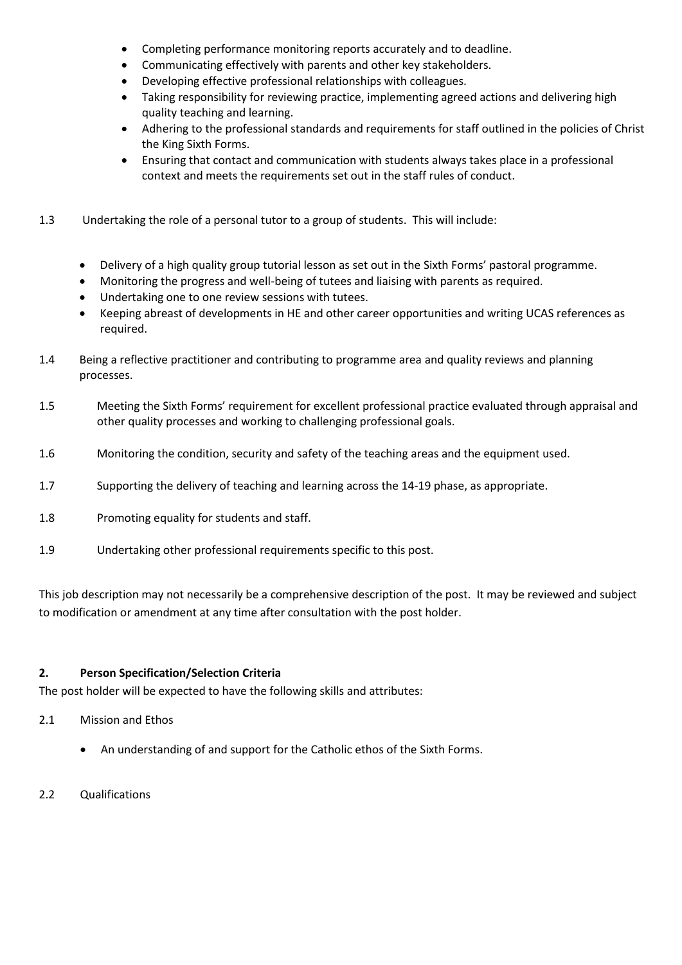- Completing performance monitoring reports accurately and to deadline.
- Communicating effectively with parents and other key stakeholders.
- Developing effective professional relationships with colleagues.
- Taking responsibility for reviewing practice, implementing agreed actions and delivering high quality teaching and learning.
- Adhering to the professional standards and requirements for staff outlined in the policies of Christ the King Sixth Forms.
- Ensuring that contact and communication with students always takes place in a professional context and meets the requirements set out in the staff rules of conduct.
- 1.3 Undertaking the role of a personal tutor to a group of students. This will include:
	- Delivery of a high quality group tutorial lesson as set out in the Sixth Forms' pastoral programme.
	- Monitoring the progress and well-being of tutees and liaising with parents as required.
	- Undertaking one to one review sessions with tutees.
	- Keeping abreast of developments in HE and other career opportunities and writing UCAS references as required.
- 1.4 Being a reflective practitioner and contributing to programme area and quality reviews and planning processes.
- 1.5 Meeting the Sixth Forms' requirement for excellent professional practice evaluated through appraisal and other quality processes and working to challenging professional goals.
- 1.6 Monitoring the condition, security and safety of the teaching areas and the equipment used.
- 1.7 Supporting the delivery of teaching and learning across the 14-19 phase, as appropriate.
- 1.8 Promoting equality for students and staff.
- 1.9 Undertaking other professional requirements specific to this post.

This job description may not necessarily be a comprehensive description of the post. It may be reviewed and subject to modification or amendment at any time after consultation with the post holder.

#### **2. Person Specification/Selection Criteria**

The post holder will be expected to have the following skills and attributes:

- 2.1 Mission and Ethos
	- An understanding of and support for the Catholic ethos of the Sixth Forms.
- 2.2 Qualifications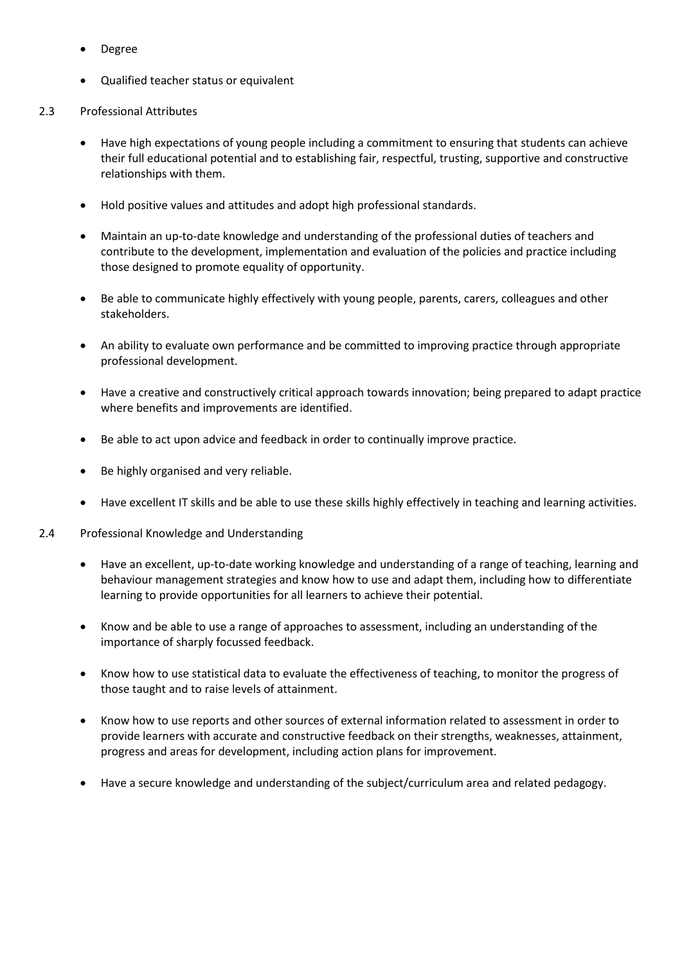- Degree
- Qualified teacher status or equivalent
- 2.3 Professional Attributes
	- Have high expectations of young people including a commitment to ensuring that students can achieve their full educational potential and to establishing fair, respectful, trusting, supportive and constructive relationships with them.
	- Hold positive values and attitudes and adopt high professional standards.
	- Maintain an up-to-date knowledge and understanding of the professional duties of teachers and contribute to the development, implementation and evaluation of the policies and practice including those designed to promote equality of opportunity.
	- Be able to communicate highly effectively with young people, parents, carers, colleagues and other stakeholders.
	- An ability to evaluate own performance and be committed to improving practice through appropriate professional development.
	- Have a creative and constructively critical approach towards innovation; being prepared to adapt practice where benefits and improvements are identified.
	- Be able to act upon advice and feedback in order to continually improve practice.
	- Be highly organised and very reliable.
	- Have excellent IT skills and be able to use these skills highly effectively in teaching and learning activities.
- 2.4 Professional Knowledge and Understanding
	- Have an excellent, up-to-date working knowledge and understanding of a range of teaching, learning and behaviour management strategies and know how to use and adapt them, including how to differentiate learning to provide opportunities for all learners to achieve their potential.
	- Know and be able to use a range of approaches to assessment, including an understanding of the importance of sharply focussed feedback.
	- Know how to use statistical data to evaluate the effectiveness of teaching, to monitor the progress of those taught and to raise levels of attainment.
	- Know how to use reports and other sources of external information related to assessment in order to provide learners with accurate and constructive feedback on their strengths, weaknesses, attainment, progress and areas for development, including action plans for improvement.
	- Have a secure knowledge and understanding of the subject/curriculum area and related pedagogy.